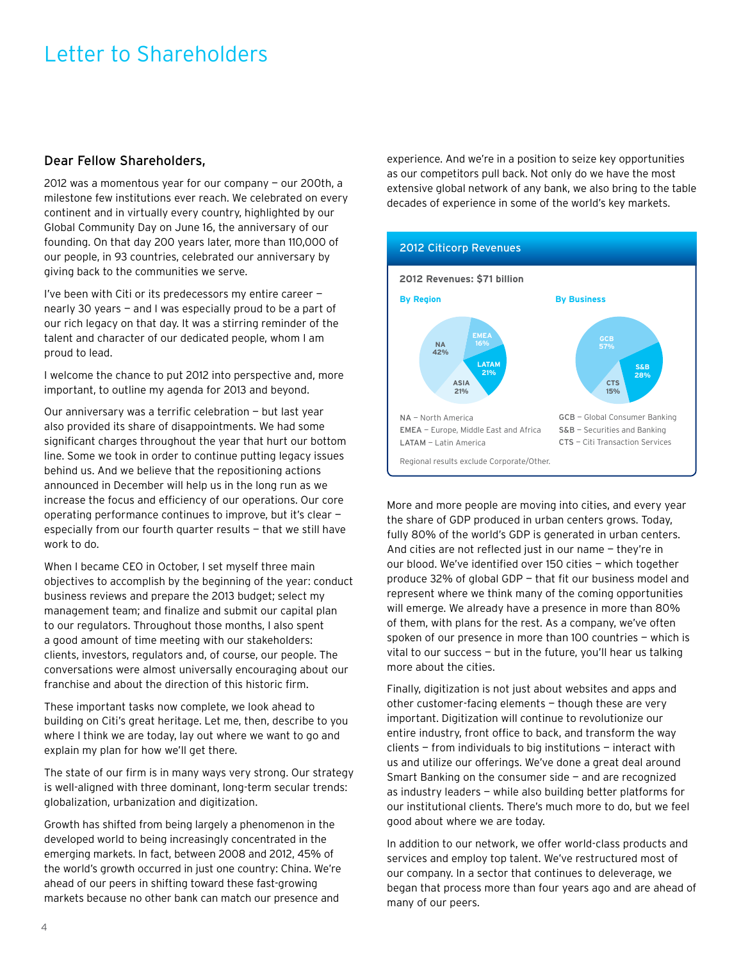## Letter to Shareholders

## Dear Fellow Shareholders,

2012 was a momentous year for our company — our 200th, a milestone few institutions ever reach. We celebrated on every continent and in virtually every country, highlighted by our Global Community Day on June 16, the anniversary of our founding. On that day 200 years later, more than 110,000 of our people, in 93 countries, celebrated our anniversary by giving back to the communities we serve.

I've been with Citi or its predecessors my entire career nearly 30 years — and I was especially proud to be a part of our rich legacy on that day. It was a stirring reminder of the talent and character of our dedicated people, whom I am proud to lead.

I welcome the chance to put 2012 into perspective and, more important, to outline my agenda for 2013 and beyond.

Our anniversary was a terrific celebration — but last year also provided its share of disappointments. We had some significant charges throughout the year that hurt our bottom line. Some we took in order to continue putting legacy issues behind us. And we believe that the repositioning actions announced in December will help us in the long run as we increase the focus and efficiency of our operations. Our core operating performance continues to improve, but it's clear especially from our fourth quarter results — that we still have work to do.

When I became CEO in October, I set myself three main objectives to accomplish by the beginning of the year: conduct business reviews and prepare the 2013 budget; select my management team; and finalize and submit our capital plan to our regulators. Throughout those months, I also spent a good amount of time meeting with our stakeholders: clients, investors, regulators and, of course, our people. The conversations were almost universally encouraging about our franchise and about the direction of this historic firm.

These important tasks now complete, we look ahead to building on Citi's great heritage. Let me, then, describe to you where I think we are today, lay out where we want to go and explain my plan for how we'll get there.

The state of our firm is in many ways very strong. Our strategy is well-aligned with three dominant, long-term secular trends: globalization, urbanization and digitization.

Growth has shifted from being largely a phenomenon in the developed world to being increasingly concentrated in the emerging markets. In fact, between 2008 and 2012, 45% of the world's growth occurred in just one country: China. We're ahead of our peers in shifting toward these fast-growing markets because no other bank can match our presence and

experience. And we're in a position to seize key opportunities as our competitors pull back. Not only do we have the most extensive global network of any bank, we also bring to the table decades of experience in some of the world's key markets.



More and more people are moving into cities, and every year the share of GDP produced in urban centers grows. Today, fully 80% of the world's GDP is generated in urban centers. And cities are not reflected just in our name — they're in our blood. We've identified over 150 cities — which together produce 32% of global GDP — that fit our business model and represent where we think many of the coming opportunities will emerge. We already have a presence in more than 80% of them, with plans for the rest. As a company, we've often spoken of our presence in more than 100 countries — which is vital to our success — but in the future, you'll hear us talking more about the cities.

Finally, digitization is not just about websites and apps and other customer-facing elements — though these are very important. Digitization will continue to revolutionize our entire industry, front office to back, and transform the way clients — from individuals to big institutions — interact with us and utilize our offerings. We've done a great deal around Smart Banking on the consumer side — and are recognized as industry leaders — while also building better platforms for our institutional clients. There's much more to do, but we feel good about where we are today.

In addition to our network, we offer world-class products and services and employ top talent. We've restructured most of our company. In a sector that continues to deleverage, we began that process more than four years ago and are ahead of many of our peers.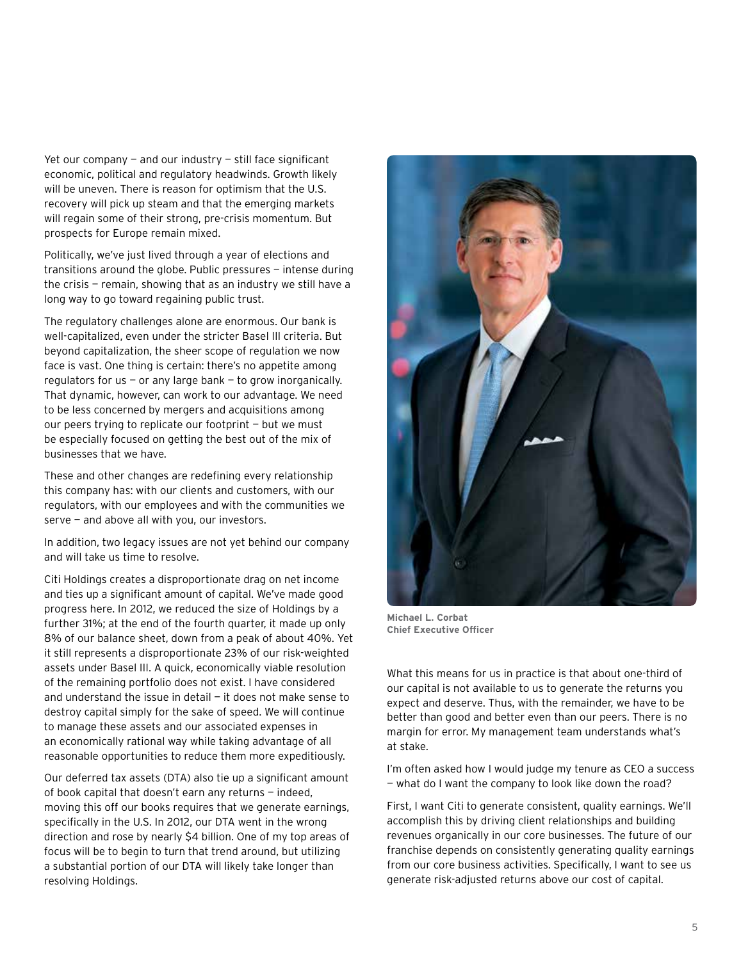Yet our company  $-$  and our industry  $-$  still face significant economic, political and regulatory headwinds. Growth likely will be uneven. There is reason for optimism that the U.S. recovery will pick up steam and that the emerging markets will regain some of their strong, pre-crisis momentum. But prospects for Europe remain mixed.

Politically, we've just lived through a year of elections and transitions around the globe. Public pressures — intense during the crisis — remain, showing that as an industry we still have a long way to go toward regaining public trust.

The regulatory challenges alone are enormous. Our bank is well-capitalized, even under the stricter Basel III criteria. But beyond capitalization, the sheer scope of regulation we now face is vast. One thing is certain: there's no appetite among regulators for us  $-$  or any large bank  $-$  to grow inorganically. That dynamic, however, can work to our advantage. We need to be less concerned by mergers and acquisitions among our peers trying to replicate our footprint — but we must be especially focused on getting the best out of the mix of businesses that we have.

These and other changes are redefining every relationship this company has: with our clients and customers, with our regulators, with our employees and with the communities we serve — and above all with you, our investors.

In addition, two legacy issues are not yet behind our company and will take us time to resolve.

Citi Holdings creates a disproportionate drag on net income and ties up a significant amount of capital. We've made good progress here. In 2012, we reduced the size of Holdings by a further 31%; at the end of the fourth quarter, it made up only 8% of our balance sheet, down from a peak of about 40%. Yet it still represents a disproportionate 23% of our risk-weighted assets under Basel III. A quick, economically viable resolution of the remaining portfolio does not exist. I have considered and understand the issue in detail — it does not make sense to destroy capital simply for the sake of speed. We will continue to manage these assets and our associated expenses in an economically rational way while taking advantage of all reasonable opportunities to reduce them more expeditiously.

Our deferred tax assets (DTA) also tie up a significant amount of book capital that doesn't earn any returns — indeed, moving this off our books requires that we generate earnings, specifically in the U.S. In 2012, our DTA went in the wrong direction and rose by nearly \$4 billion. One of my top areas of focus will be to begin to turn that trend around, but utilizing a substantial portion of our DTA will likely take longer than resolving Holdings.



**Michael L. Corbat Chief Executive Officer**

What this means for us in practice is that about one-third of our capital is not available to us to generate the returns you expect and deserve. Thus, with the remainder, we have to be better than good and better even than our peers. There is no margin for error. My management team understands what's at stake.

I'm often asked how I would judge my tenure as CEO a success — what do I want the company to look like down the road?

First, I want Citi to generate consistent, quality earnings. We'll accomplish this by driving client relationships and building revenues organically in our core businesses. The future of our franchise depends on consistently generating quality earnings from our core business activities. Specifically, I want to see us generate risk-adjusted returns above our cost of capital.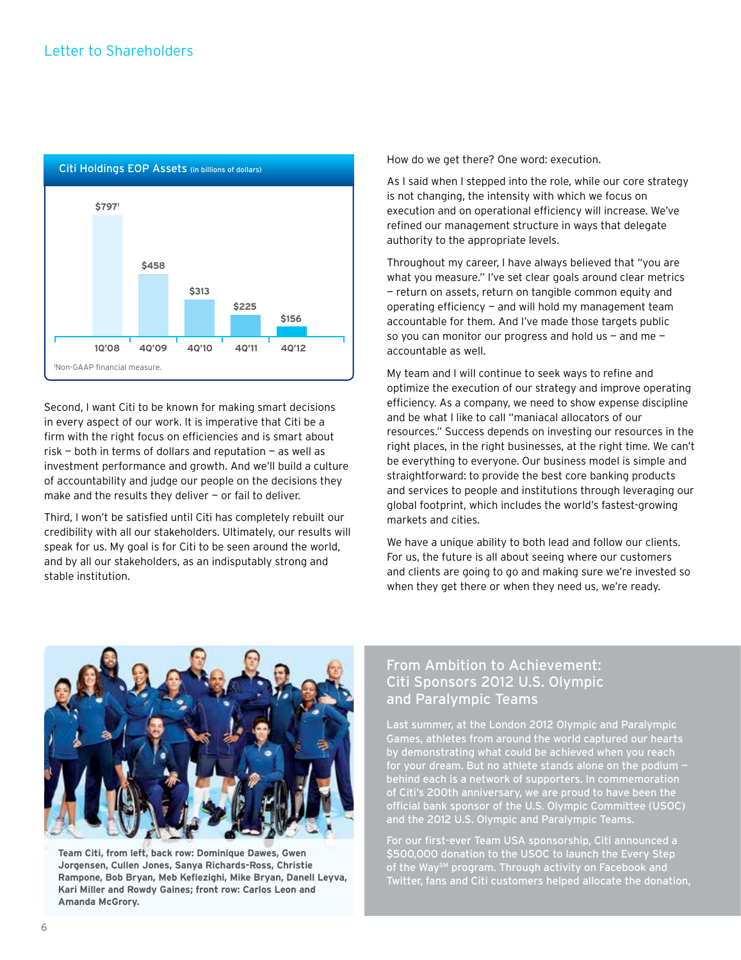

Second, I want Citi to be known for making smart decisions in every aspect of our work. It is imperative that Citi be a firm with the right focus on efficiencies and is smart about risk — both in terms of dollars and reputation — as well as investment performance and growth. And we'll build a culture of accountability and judge our people on the decisions they make and the results they deliver  $-$  or fail to deliver.

Third, I won't be satisfied until Citi has completely rebuilt our credibility with all our stakeholders. Ultimately, our results will speak for us. My goal is for Citi to be seen around the world, and by all our stakeholders, as an indisputably strong and stable institution.

How do we get there? One word: execution.

As I said when I stepped into the role, while our core strategy is not changing, the intensity with which we focus on execution and on operational efficiency will increase. We've refined our management structure in ways that delegate authority to the appropriate levels.

Throughout my career, I have always believed that "you are what you measure." I've set clear goals around clear metrics — return on assets, return on tangible common equity and operating efficiency  $-$  and will hold my management team accountable for them. And I've made those targets public so you can monitor our progress and hold us  $-$  and me  $$ accountable as well.

My team and I will continue to seek ways to refine and optimize the execution of our strategy and improve operating efficiency. As a company, we need to show expense discipline and be what I like to call "maniacal allocators of our resources." Success depends on investing our resources in the right places, in the right businesses, at the right time. We can't be everything to everyone. Our business model is simple and straightforward: to provide the best core banking products and services to people and institutions through leveraging our global footprint, which includes the world's fastest-growing markets and cities.

We have a unique ability to both lead and follow our clients. For us, the future is all about seeing where our customers and clients are going to go and making sure we're invested so when they get there or when they need us, we're ready.



**Team Citi, from left, back row: Dominique Dawes, Gwen Jorgensen, Cullen Jones, Sanya Richards-Ross, Christie Rampone, Bob Bryan, Meb Keflezighi, Mike Bryan, Danell Leyva, Kari Miller and Rowdy Gaines; front row: Carlos Leon and Amanda McGrory.** 

## From Ambition to Achievement: Citi Sponsors 2012 U.S. Olympic and Paralympic Teams

Last summer, at the London 2012 Olympic and Paralympic Games, athletes from around the world captured our hearts by demonstrating what could be achieved when you reach for your dream. But no athlete stands alone on the podium behind each is a network of supporters. In commemoration of Citi's 200th anniversary, we are proud to have been the official bank sponsor of the U.S. Olympic Committee (USOC) and the 2012 U.S. Olympic and Paralympic Teams.

For our first-ever Team USA sponsorship, Citi announced a \$500,000 donation to the USOC to launch the Every Step of the Way<sup>sM</sup> program. Through activity on Facebook and Twitter, fans and Citi customers helped allocate the donation,